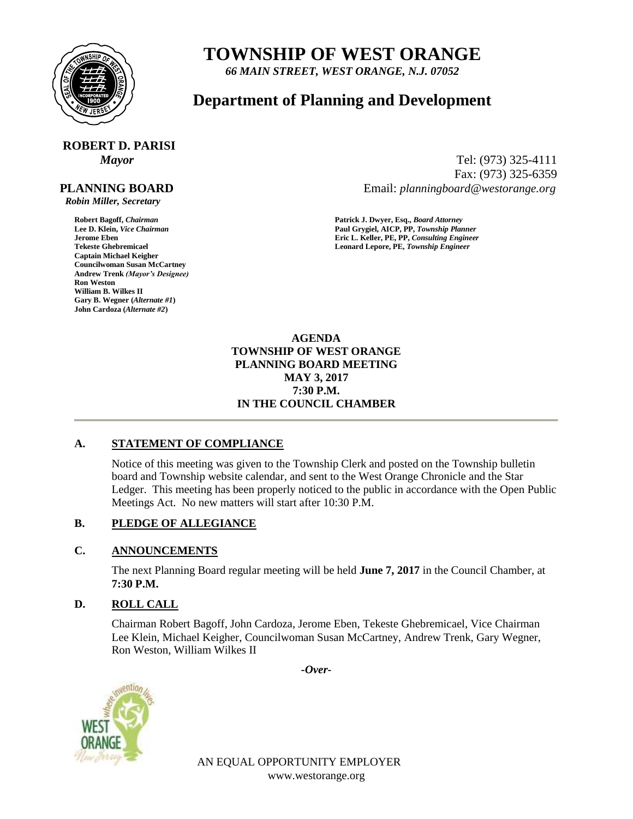

# **TOWNSHIP OF WEST ORANGE**

*66 MAIN STREET, WEST ORANGE, N.J. 07052*

## **Department of Planning and Development**

# **ROBERT D. PARISI**

#### **PLANNING BOARD**

 *Robin Miller, Secretary*

**Captain Michael Keigher Councilwoman Susan McCartney Andrew Trenk** *(Mayor's Designee)* **Ron Weston William B. Wilkes II Gary B. Wegner (***Alternate #1***) John Cardoza (***Alternate #2***)**

*Mayor* Tel: (973) 325-4111 Fax: (973) 325-6359 Email: *planningboard@westorange.org*

**Robert Bagoff,** *Chairman* **<b>Patrick J. Dwyer, Esq.,** *Board Attorney* **Patrick J. Dwyer, Esq.,** *Board Attorney* **Paul Grygiel, AICP, PP,** *Township Plan* **Lee D. Klein,** *Vice Chairman* **Paul Grygiel, AICP, PP,** *Township Planner* **Jerome Eben Eric L. Keller, PE, PP,** *Consulting Engineer* Leonard Lepore, PE, Township Engineer

> **AGENDA TOWNSHIP OF WEST ORANGE PLANNING BOARD MEETING MAY 3, 2017 7:30 P.M. IN THE COUNCIL CHAMBER**

#### **A. STATEMENT OF COMPLIANCE**

Notice of this meeting was given to the Township Clerk and posted on the Township bulletin board and Township website calendar, and sent to the West Orange Chronicle and the Star Ledger. This meeting has been properly noticed to the public in accordance with the Open Public Meetings Act. No new matters will start after 10:30 P.M.

#### **B. PLEDGE OF ALLEGIANCE**

#### **C. ANNOUNCEMENTS**

The next Planning Board regular meeting will be held **June 7, 2017** in the Council Chamber, at **7:30 P.M.**

#### **D. ROLL CALL**

Chairman Robert Bagoff, John Cardoza, Jerome Eben, Tekeste Ghebremicael, Vice Chairman Lee Klein, Michael Keigher, Councilwoman Susan McCartney, Andrew Trenk, Gary Wegner, Ron Weston, William Wilkes II

*-Over-*



AN EQUAL OPPORTUNITY EMPLOYER www.westorange.org